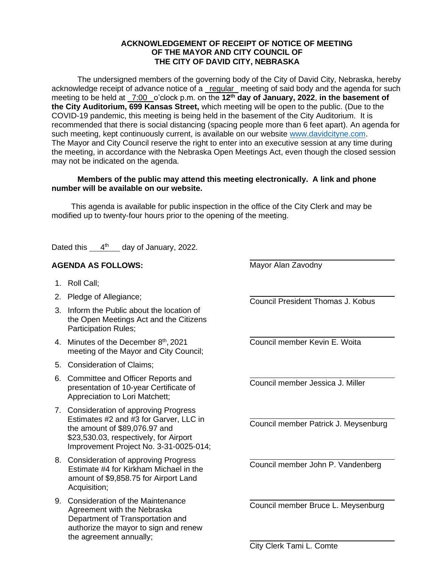## **ACKNOWLEDGEMENT OF RECEIPT OF NOTICE OF MEETING OF THE MAYOR AND CITY COUNCIL OF THE CITY OF DAVID CITY, NEBRASKA**

The undersigned members of the governing body of the City of David City, Nebraska, hereby acknowledge receipt of advance notice of a regular meeting of said body and the agenda for such meeting to be held at  $\frac{7:00}{ }$  o'clock p.m. on the 12<sup>th</sup> day of January, 2022, in the basement of **the City Auditorium, 699 Kansas Street,** which meeting will be open to the public. (Due to the COVID-19 pandemic, this meeting is being held in the basement of the City Auditorium. It is recommended that there is social distancing (spacing people more than 6 feet apart). An agenda for such meeting, kept continuously current, is available on our website [www.davidcityne.com.](https://urldefense.proofpoint.com/v2/url?u=http-3A__www.davidcityne.com&d=DwMFAg&c=UCja3IwhyjPGYeHcG7oIbg&r=sTF4AptKcZUvAdPZH__AgXD7wYT5PTsm1dL8p3vwYO4&m=H_1JksRqSJf69XA0HV8uDjtaNsM1PhWMo-DkTNHrSaE&s=wLyFni_YrhiWLHduEQzSflZL77e5AtnnCpVJ-weajcE&e=) The Mayor and City Council reserve the right to enter into an executive session at any time during the meeting, in accordance with the Nebraska Open Meetings Act, even though the closed session may not be indicated on the agenda.

## **Members of the public may attend this meeting electronically. A link and phone number will be available on our website.**

This agenda is available for public inspection in the office of the City Clerk and may be modified up to twenty-four hours prior to the opening of the meeting.

Dated this  $4<sup>th</sup>$  day of January, 2022.

## **AGENDA AS FOLLOWS:**

- 1. Roll Call;
- 2. Pledge of Allegiance;
- 3. Inform the Public about the location of the Open Meetings Act and the Citizens Participation Rules;
- 4. Minutes of the December 8<sup>th</sup>, 2021 meeting of the Mayor and City Council;
- 5. Consideration of Claims;
- 6. Committee and Officer Reports and presentation of 10-year Certificate of Appreciation to Lori Matchett;
- 7. Consideration of approving Progress Estimates #2 and #3 for Garver, LLC in the amount of \$89,076.97 and \$23,530.03, respectively, for Airport Improvement Project No. 3-31-0025-014;
- 8. Consideration of approving Progress Estimate #4 for Kirkham Michael in the amount of \$9,858.75 for Airport Land Acquisition;
- 9. Consideration of the Maintenance Agreement with the Nebraska Department of Transportation and authorize the mayor to sign and renew the agreement annually;

Mayor Alan Zavodny

Council President Thomas J. Kobus

 $\overline{a}$ 

Council member Kevin E. Woita

Council member Jessica J. Miller

Council member Patrick J. Meysenburg

Council member John P. Vandenberg

Council member Bruce L. Meysenburg

City Clerk Tami L. Comte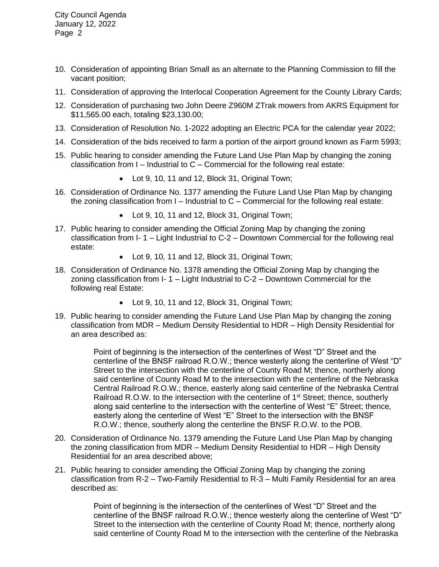City Council Agenda January 12, 2022 Page 2

- 10. Consideration of appointing Brian Small as an alternate to the Planning Commission to fill the vacant position;
- 11. Consideration of approving the Interlocal Cooperation Agreement for the County Library Cards;
- 12. Consideration of purchasing two John Deere Z960M ZTrak mowers from AKRS Equipment for \$11,565.00 each, totaling \$23,130.00;
- 13. Consideration of Resolution No. 1-2022 adopting an Electric PCA for the calendar year 2022;
- 14. Consideration of the bids received to farm a portion of the airport ground known as Farm 5993;
- 15. Public hearing to consider amending the Future Land Use Plan Map by changing the zoning classification from  $I$  – Industrial to  $C$  – Commercial for the following real estate:
	- Lot 9, 10, 11 and 12, Block 31, Original Town;
- 16. Consideration of Ordinance No. 1377 amending the Future Land Use Plan Map by changing the zoning classification from  $I$  – Industrial to  $C$  – Commercial for the following real estate:
	- Lot 9, 10, 11 and 12, Block 31, Original Town;
- 17. Public hearing to consider amending the Official Zoning Map by changing the zoning classification from I- 1 – Light Industrial to C-2 – Downtown Commercial for the following real estate:
	- Lot 9, 10, 11 and 12, Block 31, Original Town;
- 18. Consideration of Ordinance No. 1378 amending the Official Zoning Map by changing the zoning classification from  $I - I$  – Light Industrial to  $C - 2$  – Downtown Commercial for the following real Estate:
	- Lot 9, 10, 11 and 12, Block 31, Original Town;
- 19. Public hearing to consider amending the Future Land Use Plan Map by changing the zoning classification from MDR – Medium Density Residential to HDR – High Density Residential for an area described as:

Point of beginning is the intersection of the centerlines of West "D" Street and the centerline of the BNSF railroad R.O.W.; thence westerly along the centerline of West "D" Street to the intersection with the centerline of County Road M; thence, northerly along said centerline of County Road M to the intersection with the centerline of the Nebraska Central Railroad R.O.W.; thence, easterly along said centerline of the Nebraska Central Railroad R.O.W. to the intersection with the centerline of  $1<sup>st</sup>$  Street; thence, southerly along said centerline to the intersection with the centerline of West "E" Street; thence, easterly along the centerline of West "E" Street to the intersection with the BNSF R.O.W.; thence, southerly along the centerline the BNSF R.O.W. to the POB.

- 20. Consideration of Ordinance No. 1379 amending the Future Land Use Plan Map by changing the zoning classification from MDR – Medium Density Residential to HDR – High Density Residential for an area described above;
- 21. Public hearing to consider amending the Official Zoning Map by changing the zoning classification from R-2 – Two-Family Residential to R-3 – Multi Family Residential for an area described as:

Point of beginning is the intersection of the centerlines of West "D" Street and the centerline of the BNSF railroad R.O.W.; thence westerly along the centerline of West "D" Street to the intersection with the centerline of County Road M; thence, northerly along said centerline of County Road M to the intersection with the centerline of the Nebraska